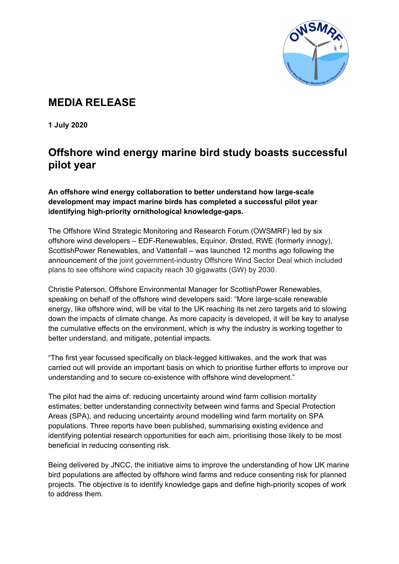

# **MEDIA RELEASE**

**1 July 2020**

## **Offshore wind energy marine bird study boasts successful pilot year**

**An offshore wind energy collaboration to better understand how large-scale development may impact marine birds has completed a successful pilot year identifying high-priority ornithological knowledge-gaps.**

The Offshore Wind Strategic Monitoring and Research Forum (OWSMRF) led by six offshore wind developers – EDF-Renewables, Equinor, Ørsted, RWE (formerly innogy), ScottishPower Renewables, and Vattenfall – was launched 12 months ago following the announcement of the joint government-industry Offshore Wind Sector Deal which included plans to see offshore wind capacity reach 30 gigawatts (GW) by 2030.

Christie Paterson, Offshore Environmental Manager for ScottishPower Renewables, speaking on behalf of the offshore wind developers said: "More large-scale renewable energy, like offshore wind, will be vital to the UK reaching its net zero targets and to slowing down the impacts of climate change. As more capacity is developed, it will be key to analyse the cumulative effects on the environment, which is why the industry is working together to better understand, and mitigate, potential impacts.

"The first year focussed specifically on black-legged kittiwakes, and the work that was carried out will provide an important basis on which to prioritise further efforts to improve our understanding and to secure co-existence with offshore wind development."

The pilot had the aims of: reducing uncertainty around wind farm collision mortality estimates; better understanding connectivity between wind farms and Special Protection Areas (SPA), and reducing uncertainty around modelling wind farm mortality on SPA populations. Three reports have been published, summarising existing evidence and identifying potential research opportunities for each aim, prioritising those likely to be most beneficial in reducing consenting risk.

Being delivered by JNCC, the initiative aims to improve the understanding of how UK marine bird populations are affected by offshore wind farms and reduce consenting risk for planned projects. The objective is to identify knowledge gaps and define high-priority scopes of work to address them.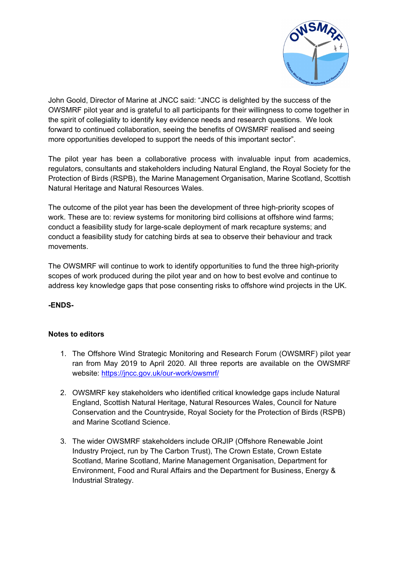

John Goold, Director of Marine at JNCC said: "JNCC is delighted by the success of the OWSMRF pilot year and is grateful to all participants for their willingness to come together in the spirit of collegiality to identify key evidence needs and research questions. We look forward to continued collaboration, seeing the benefits of OWSMRF realised and seeing more opportunities developed to support the needs of this important sector".

The pilot year has been a collaborative process with invaluable input from academics, regulators, consultants and stakeholders including Natural England, the Royal Society for the Protection of Birds (RSPB), the Marine Management Organisation, Marine Scotland, Scottish Natural Heritage and Natural Resources Wales.

The outcome of the pilot year has been the development of three high-priority scopes of work. These are to: review systems for monitoring bird collisions at offshore wind farms; conduct a feasibility study for large-scale deployment of mark recapture systems; and conduct a feasibility study for catching birds at sea to observe their behaviour and track movements.

The OWSMRF will continue to work to identify opportunities to fund the three high-priority scopes of work produced during the pilot year and on how to best evolve and continue to address key knowledge gaps that pose consenting risks to offshore wind projects in the UK.

#### **-ENDS-**

#### **Notes to editors**

- 1. The Offshore Wind Strategic Monitoring and Research Forum (OWSMRF) pilot year ran from May 2019 to April 2020. All three reports are available on the OWSMRF website:<https://jncc.gov.uk/our-work/owsmrf/>
- 2. OWSMRF key stakeholders who identified critical knowledge gaps include Natural England, Scottish Natural Heritage, Natural Resources Wales, Council for Nature Conservation and the Countryside, Royal Society for the Protection of Birds (RSPB) and Marine Scotland Science.
- 3. The wider OWSMRF stakeholders include ORJIP (Offshore Renewable Joint Industry Project, run by The Carbon Trust), The Crown Estate, Crown Estate Scotland, Marine Scotland, Marine Management Organisation, Department for Environment, Food and Rural Affairs and the Department for Business, Energy & Industrial Strategy.